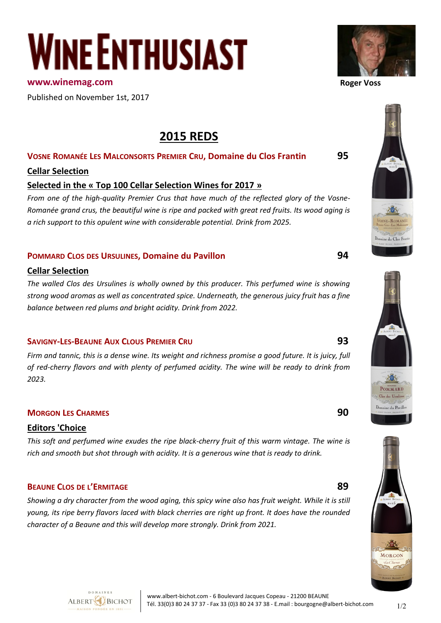# **WINE ENTHUSIAST**

#### **www.winemag.com Roger Voss**

Published on November 1st, 2017

**2015 REDS**

#### **VOSNE ROMANÉE LES MALCONSORTS PREMIER CRU, Domaine du Clos Frantin 95**

#### **Cellar Selection**

#### **Selected in the « Top 100 Cellar Selection Wines for 2017 »**

*From one of the high-quality Premier Crus that have much of the reflected glory of the Vosne-Romanée grand crus, the beautiful wine is ripe and packed with great red fruits. Its wood aging is a rich support to this opulent wine with considerable potential. Drink from 2025.* 

#### **POMMARD CLOS DES URSULINES, Domaine du Pavillon 94**

#### **Cellar Selection**

*The walled Clos des Ursulines is wholly owned by this producer. This perfumed wine is showing strong wood aromas as well as concentrated spice. Underneath, the generous juicy fruit has a fine balance between red plums and bright acidity. Drink from 2022.* 

#### **SAVIGNY-LES-BEAUNE AUX CLOUS PREMIER CRU 93**

*Firm and tannic, this is a dense wine. Its weight and richness promise a good future. It is juicy, full of red-cherry flavors and with plenty of perfumed acidity. The wine will be ready to drink from 2023.* 

#### **MORGON LES CHARMES 90**

#### **Editors 'Choice**

*This soft and perfumed wine exudes the ripe black-cherry fruit of this warm vintage. The wine is rich and smooth but shot through with acidity. It is a generous wine that is ready to drink.* 

#### **BEAUNE CLOS DE <sup>L</sup>'ERMITAGE 89**

*Showing a dry character from the wood aging, this spicy wine also has fruit weight. While it is still young, its ripe berry flavors laced with black cherries are right up front. It does have the rounded character of a Beaune and this will develop more strongly. Drink from 2021.*